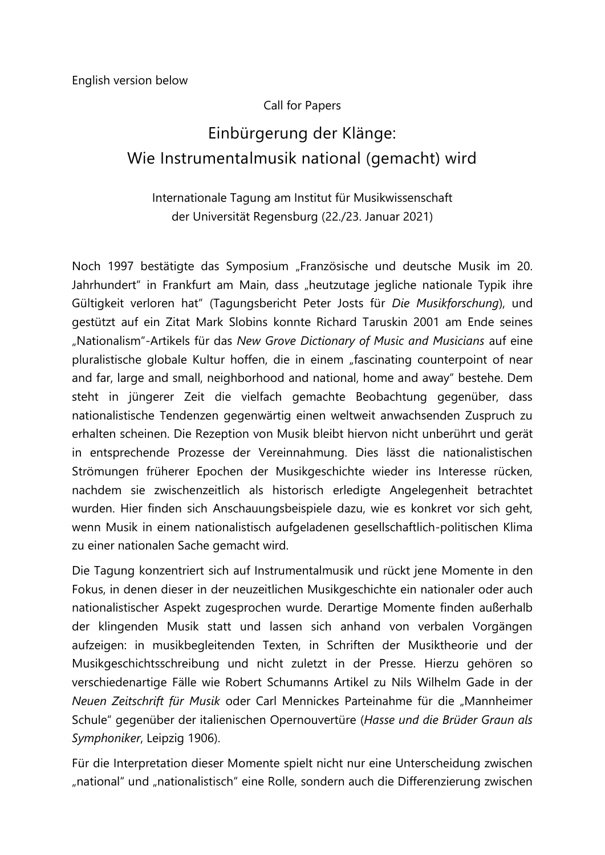#### Call for Papers

# Einbürgerung der Klänge: Wie Instrumentalmusik national (gemacht) wird

#### Internationale Tagung am Institut für Musikwissenschaft der Universität Regensburg (22./23. Januar 2021)

Noch 1997 bestätigte das Symposium "Französische und deutsche Musik im 20. Jahrhundert" in Frankfurt am Main, dass "heutzutage jegliche nationale Typik ihre Gültigkeit verloren hat" (Tagungsbericht Peter Josts für *Die Musikforschung*), und gestützt auf ein Zitat Mark Slobins konnte Richard Taruskin 2001 am Ende seines "Nationalism"-Artikels für das *New Grove Dictionary of Music and Musicians* auf eine pluralistische globale Kultur hoffen, die in einem "fascinating counterpoint of near and far, large and small, neighborhood and national, home and away" bestehe. Dem steht in jüngerer Zeit die vielfach gemachte Beobachtung gegenüber, dass nationalistische Tendenzen gegenwärtig einen weltweit anwachsenden Zuspruch zu erhalten scheinen. Die Rezeption von Musik bleibt hiervon nicht unberührt und gerät in entsprechende Prozesse der Vereinnahmung. Dies lässt die nationalistischen Strömungen früherer Epochen der Musikgeschichte wieder ins Interesse rücken, nachdem sie zwischenzeitlich als historisch erledigte Angelegenheit betrachtet wurden. Hier finden sich Anschauungsbeispiele dazu, wie es konkret vor sich geht, wenn Musik in einem nationalistisch aufgeladenen gesellschaftlich-politischen Klima zu einer nationalen Sache gemacht wird.

Die Tagung konzentriert sich auf Instrumentalmusik und rückt jene Momente in den Fokus, in denen dieser in der neuzeitlichen Musikgeschichte ein nationaler oder auch nationalistischer Aspekt zugesprochen wurde. Derartige Momente finden außerhalb der klingenden Musik statt und lassen sich anhand von verbalen Vorgängen aufzeigen: in musikbegleitenden Texten, in Schriften der Musiktheorie und der Musikgeschichtsschreibung und nicht zuletzt in der Presse. Hierzu gehören so verschiedenartige Fälle wie Robert Schumanns Artikel zu Nils Wilhelm Gade in der *Neuen Zeitschrift für Musik* oder Carl Mennickes Parteinahme für die "Mannheimer Schule" gegenüber der italienischen Opernouvertüre (*Hasse und die Brüder Graun als Symphoniker*, Leipzig 1906).

Für die Interpretation dieser Momente spielt nicht nur eine Unterscheidung zwischen "national" und "nationalistisch" eine Rolle, sondern auch die Differenzierung zwischen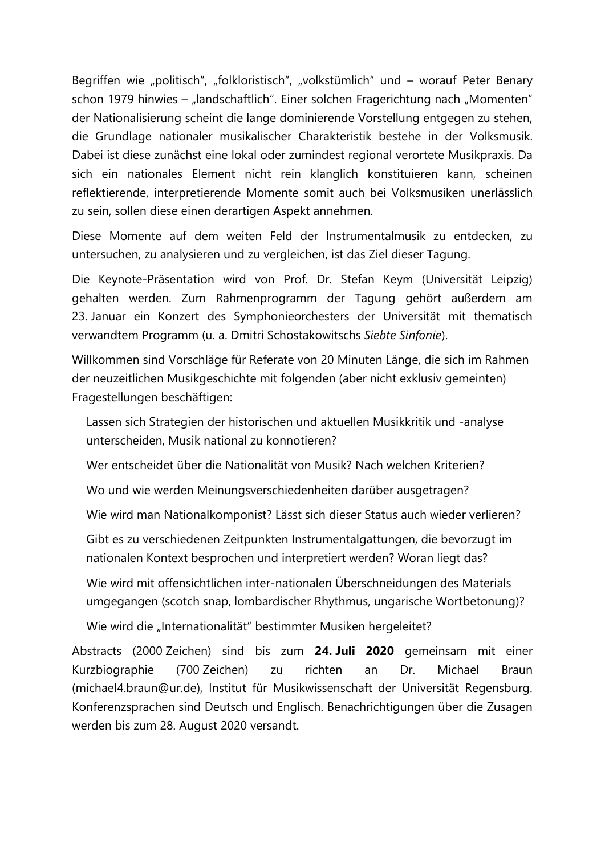Begriffen wie "politisch", "folkloristisch", "volkstümlich" und – worauf Peter Benary schon 1979 hinwies – "landschaftlich". Einer solchen Fragerichtung nach "Momenten" der Nationalisierung scheint die lange dominierende Vorstellung entgegen zu stehen, die Grundlage nationaler musikalischer Charakteristik bestehe in der Volksmusik. Dabei ist diese zunächst eine lokal oder zumindest regional verortete Musikpraxis. Da sich ein nationales Element nicht rein klanglich konstituieren kann, scheinen reflektierende, interpretierende Momente somit auch bei Volksmusiken unerlässlich zu sein, sollen diese einen derartigen Aspekt annehmen.

Diese Momente auf dem weiten Feld der Instrumentalmusik zu entdecken, zu untersuchen, zu analysieren und zu vergleichen, ist das Ziel dieser Tagung.

Die Keynote-Präsentation wird von Prof. Dr. Stefan Keym (Universität Leipzig) gehalten werden. Zum Rahmenprogramm der Tagung gehört außerdem am 23. Januar ein Konzert des Symphonieorchesters der Universität mit thematisch verwandtem Programm (u. a. Dmitri Schostakowitschs *Siebte Sinfonie*).

Willkommen sind Vorschläge für Referate von 20 Minuten Länge, die sich im Rahmen der neuzeitlichen Musikgeschichte mit folgenden (aber nicht exklusiv gemeinten) Fragestellungen beschäftigen:

Lassen sich Strategien der historischen und aktuellen Musikkritik und -analyse unterscheiden, Musik national zu konnotieren?

Wer entscheidet über die Nationalität von Musik? Nach welchen Kriterien?

Wo und wie werden Meinungsverschiedenheiten darüber ausgetragen?

Wie wird man Nationalkomponist? Lässt sich dieser Status auch wieder verlieren?

Gibt es zu verschiedenen Zeitpunkten Instrumentalgattungen, die bevorzugt im nationalen Kontext besprochen und interpretiert werden? Woran liegt das?

Wie wird mit offensichtlichen inter-nationalen Überschneidungen des Materials umgegangen (scotch snap, lombardischer Rhythmus, ungarische Wortbetonung)?

Wie wird die "Internationalität" bestimmter Musiken hergeleitet?

Abstracts (2000 Zeichen) sind bis zum **24. Juli 2020** gemeinsam mit einer Kurzbiographie (700 Zeichen) zu richten an Dr. Michael Braun (michael4.braun@ur.de), Institut für Musikwissenschaft der Universität Regensburg. Konferenzsprachen sind Deutsch und Englisch. Benachrichtigungen über die Zusagen werden bis zum 28. August 2020 versandt.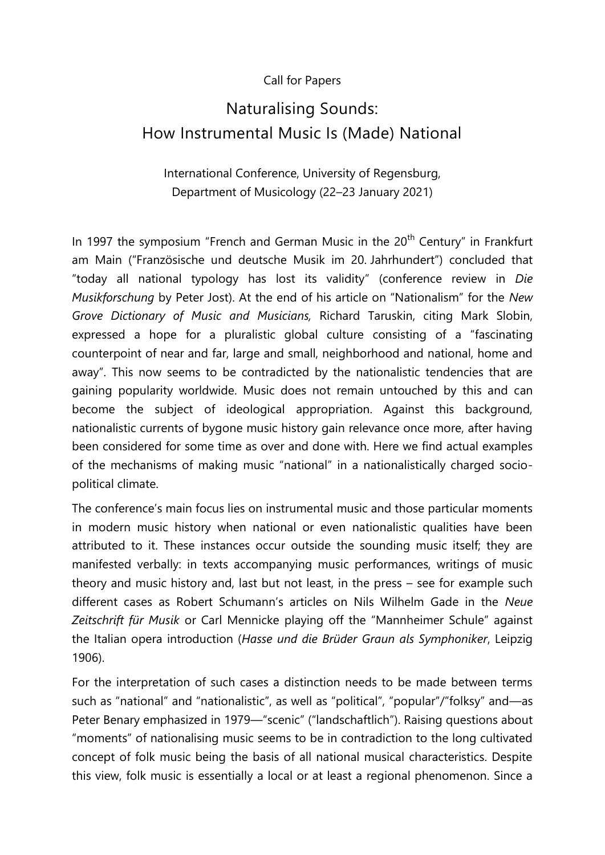#### Call for Papers

## Naturalising Sounds: How Instrumental Music Is (Made) National

### International Conference, University of Regensburg, Department of Musicology (22–23 January 2021)

In 1997 the symposium "French and German Music in the 20<sup>th</sup> Century" in Frankfurt am Main ("Französische und deutsche Musik im 20. Jahrhundert") concluded that "today all national typology has lost its validity" (conference review in *Die Musikforschung* by Peter Jost). At the end of his article on "Nationalism" for the *New Grove Dictionary of Music and Musicians,* Richard Taruskin, citing Mark Slobin, expressed a hope for a pluralistic global culture consisting of a "fascinating counterpoint of near and far, large and small, neighborhood and national, home and away". This now seems to be contradicted by the nationalistic tendencies that are gaining popularity worldwide. Music does not remain untouched by this and can become the subject of ideological appropriation. Against this background, nationalistic currents of bygone music history gain relevance once more, after having been considered for some time as over and done with. Here we find actual examples of the mechanisms of making music "national" in a nationalistically charged sociopolitical climate.

The conference's main focus lies on instrumental music and those particular moments in modern music history when national or even nationalistic qualities have been attributed to it. These instances occur outside the sounding music itself; they are manifested verbally: in texts accompanying music performances, writings of music theory and music history and, last but not least, in the press – see for example such different cases as Robert Schumann's articles on Nils Wilhelm Gade in the *Neue Zeitschrift für Musik* or Carl Mennicke playing off the "Mannheimer Schule" against the Italian opera introduction (*Hasse und die Brüder Graun als Symphoniker*, Leipzig 1906).

For the interpretation of such cases a distinction needs to be made between terms such as "national" and "nationalistic", as well as "political", "popular"/"folksy" and—as Peter Benary emphasized in 1979—"scenic" ("landschaftlich"). Raising questions about "moments" of nationalising music seems to be in contradiction to the long cultivated concept of folk music being the basis of all national musical characteristics. Despite this view, folk music is essentially a local or at least a regional phenomenon. Since a